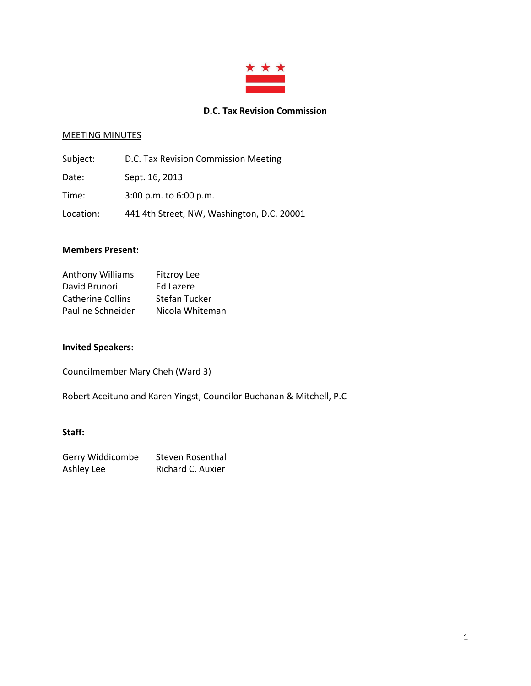

### **D.C. Tax Revision Commission**

#### MEETING MINUTES

| Subject:  | D.C. Tax Revision Commission Meeting       |
|-----------|--------------------------------------------|
| Date:     | Sept. 16, 2013                             |
| Time:     | 3:00 p.m. to 6:00 p.m.                     |
| Location: | 441 4th Street, NW, Washington, D.C. 20001 |

### **Members Present:**

| <b>Anthony Williams</b>  | <b>Fitzroy Lee</b> |
|--------------------------|--------------------|
| David Brunori            | Ed Lazere          |
| <b>Catherine Collins</b> | Stefan Tucker      |
| Pauline Schneider        | Nicola Whiteman    |

## **Invited Speakers:**

Councilmember Mary Cheh (Ward 3)

Robert Aceituno and Karen Yingst, Councilor Buchanan & Mitchell, P.C

## **Staff:**

| Gerry Widdicombe | Steven Rosenthal  |
|------------------|-------------------|
| Ashley Lee       | Richard C. Auxier |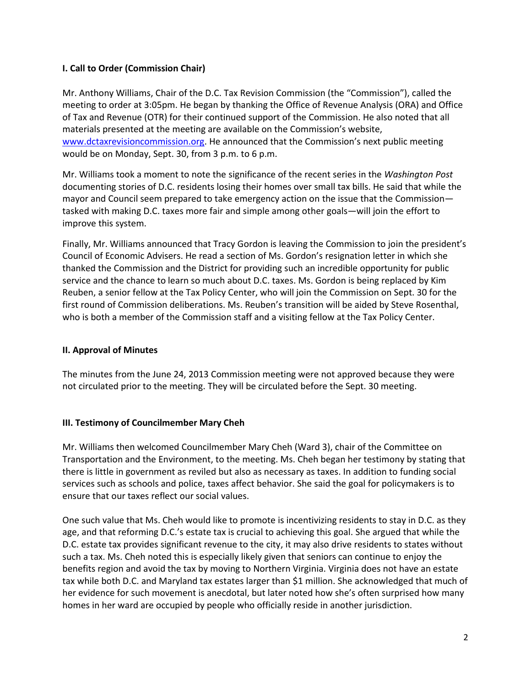## **I. Call to Order (Commission Chair)**

Mr. Anthony Williams, Chair of the D.C. Tax Revision Commission (the "Commission"), called the meeting to order at 3:05pm. He began by thanking the Office of Revenue Analysis (ORA) and Office of Tax and Revenue (OTR) for their continued support of the Commission. He also noted that all materials presented at the meeting are available on the Commission's website, [www.dctaxrevisioncommission.org.](http://www.dctaxrevisioncommission.org/) He announced that the Commission's next public meeting would be on Monday, Sept. 30, from 3 p.m. to 6 p.m.

Mr. Williams took a moment to note the significance of the recent series in the *Washington Post* documenting stories of D.C. residents losing their homes over small tax bills. He said that while the mayor and Council seem prepared to take emergency action on the issue that the Commission tasked with making D.C. taxes more fair and simple among other goals—will join the effort to improve this system.

Finally, Mr. Williams announced that Tracy Gordon is leaving the Commission to join the president's Council of Economic Advisers. He read a section of Ms. Gordon's resignation letter in which she thanked the Commission and the District for providing such an incredible opportunity for public service and the chance to learn so much about D.C. taxes. Ms. Gordon is being replaced by Kim Reuben, a senior fellow at the Tax Policy Center, who will join the Commission on Sept. 30 for the first round of Commission deliberations. Ms. Reuben's transition will be aided by Steve Rosenthal, who is both a member of the Commission staff and a visiting fellow at the Tax Policy Center.

# **II. Approval of Minutes**

The minutes from the June 24, 2013 Commission meeting were not approved because they were not circulated prior to the meeting. They will be circulated before the Sept. 30 meeting.

### **III. Testimony of Councilmember Mary Cheh**

Mr. Williams then welcomed Councilmember Mary Cheh (Ward 3), chair of the Committee on Transportation and the Environment, to the meeting. Ms. Cheh began her testimony by stating that there is little in government as reviled but also as necessary as taxes. In addition to funding social services such as schools and police, taxes affect behavior. She said the goal for policymakers is to ensure that our taxes reflect our social values.

One such value that Ms. Cheh would like to promote is incentivizing residents to stay in D.C. as they age, and that reforming D.C.'s estate tax is crucial to achieving this goal. She argued that while the D.C. estate tax provides significant revenue to the city, it may also drive residents to states without such a tax. Ms. Cheh noted this is especially likely given that seniors can continue to enjoy the benefits region and avoid the tax by moving to Northern Virginia. Virginia does not have an estate tax while both D.C. and Maryland tax estates larger than \$1 million. She acknowledged that much of her evidence for such movement is anecdotal, but later noted how she's often surprised how many homes in her ward are occupied by people who officially reside in another jurisdiction.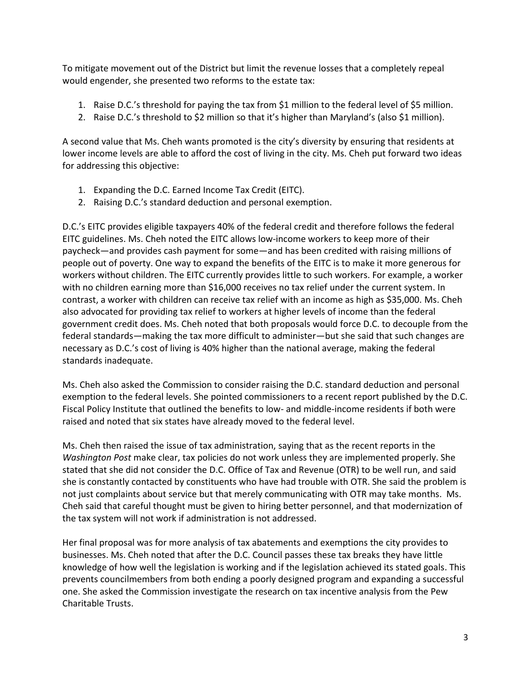To mitigate movement out of the District but limit the revenue losses that a completely repeal would engender, she presented two reforms to the estate tax:

- 1. Raise D.C.'s threshold for paying the tax from \$1 million to the federal level of \$5 million.
- 2. Raise D.C.'s threshold to \$2 million so that it's higher than Maryland's (also \$1 million).

A second value that Ms. Cheh wants promoted is the city's diversity by ensuring that residents at lower income levels are able to afford the cost of living in the city. Ms. Cheh put forward two ideas for addressing this objective:

- 1. Expanding the D.C. Earned Income Tax Credit (EITC).
- 2. Raising D.C.'s standard deduction and personal exemption.

D.C.'s EITC provides eligible taxpayers 40% of the federal credit and therefore follows the federal EITC guidelines. Ms. Cheh noted the EITC allows low-income workers to keep more of their paycheck—and provides cash payment for some—and has been credited with raising millions of people out of poverty. One way to expand the benefits of the EITC is to make it more generous for workers without children. The EITC currently provides little to such workers. For example, a worker with no children earning more than \$16,000 receives no tax relief under the current system. In contrast, a worker with children can receive tax relief with an income as high as \$35,000. Ms. Cheh also advocated for providing tax relief to workers at higher levels of income than the federal government credit does. Ms. Cheh noted that both proposals would force D.C. to decouple from the federal standards—making the tax more difficult to administer—but she said that such changes are necessary as D.C.'s cost of living is 40% higher than the national average, making the federal standards inadequate.

Ms. Cheh also asked the Commission to consider raising the D.C. standard deduction and personal exemption to the federal levels. She pointed commissioners to a recent report published by the D.C. Fiscal Policy Institute that outlined the benefits to low- and middle-income residents if both were raised and noted that six states have already moved to the federal level.

Ms. Cheh then raised the issue of tax administration, saying that as the recent reports in the *Washington Post* make clear, tax policies do not work unless they are implemented properly. She stated that she did not consider the D.C. Office of Tax and Revenue (OTR) to be well run, and said she is constantly contacted by constituents who have had trouble with OTR. She said the problem is not just complaints about service but that merely communicating with OTR may take months. Ms. Cheh said that careful thought must be given to hiring better personnel, and that modernization of the tax system will not work if administration is not addressed.

Her final proposal was for more analysis of tax abatements and exemptions the city provides to businesses. Ms. Cheh noted that after the D.C. Council passes these tax breaks they have little knowledge of how well the legislation is working and if the legislation achieved its stated goals. This prevents councilmembers from both ending a poorly designed program and expanding a successful one. She asked the Commission investigate the research on tax incentive analysis from the Pew Charitable Trusts.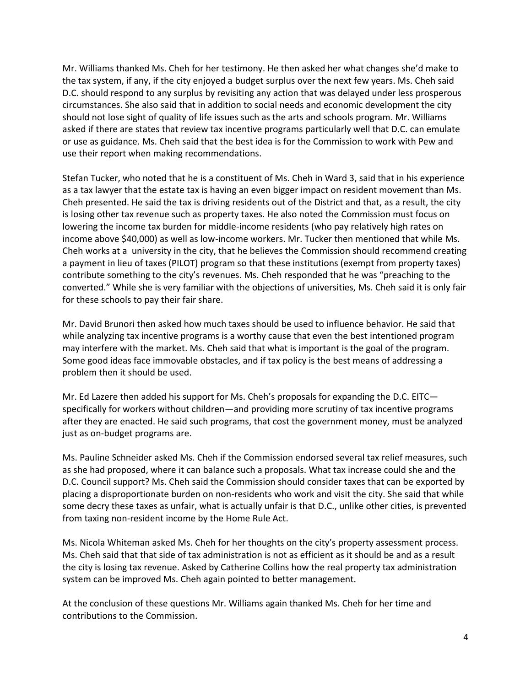Mr. Williams thanked Ms. Cheh for her testimony. He then asked her what changes she'd make to the tax system, if any, if the city enjoyed a budget surplus over the next few years. Ms. Cheh said D.C. should respond to any surplus by revisiting any action that was delayed under less prosperous circumstances. She also said that in addition to social needs and economic development the city should not lose sight of quality of life issues such as the arts and schools program. Mr. Williams asked if there are states that review tax incentive programs particularly well that D.C. can emulate or use as guidance. Ms. Cheh said that the best idea is for the Commission to work with Pew and use their report when making recommendations.

Stefan Tucker, who noted that he is a constituent of Ms. Cheh in Ward 3, said that in his experience as a tax lawyer that the estate tax is having an even bigger impact on resident movement than Ms. Cheh presented. He said the tax is driving residents out of the District and that, as a result, the city is losing other tax revenue such as property taxes. He also noted the Commission must focus on lowering the income tax burden for middle-income residents (who pay relatively high rates on income above \$40,000) as well as low-income workers. Mr. Tucker then mentioned that while Ms. Cheh works at a university in the city, that he believes the Commission should recommend creating a payment in lieu of taxes (PILOT) program so that these institutions (exempt from property taxes) contribute something to the city's revenues. Ms. Cheh responded that he was "preaching to the converted." While she is very familiar with the objections of universities, Ms. Cheh said it is only fair for these schools to pay their fair share.

Mr. David Brunori then asked how much taxes should be used to influence behavior. He said that while analyzing tax incentive programs is a worthy cause that even the best intentioned program may interfere with the market. Ms. Cheh said that what is important is the goal of the program. Some good ideas face immovable obstacles, and if tax policy is the best means of addressing a problem then it should be used.

Mr. Ed Lazere then added his support for Ms. Cheh's proposals for expanding the D.C. EITC specifically for workers without children—and providing more scrutiny of tax incentive programs after they are enacted. He said such programs, that cost the government money, must be analyzed just as on-budget programs are.

Ms. Pauline Schneider asked Ms. Cheh if the Commission endorsed several tax relief measures, such as she had proposed, where it can balance such a proposals. What tax increase could she and the D.C. Council support? Ms. Cheh said the Commission should consider taxes that can be exported by placing a disproportionate burden on non-residents who work and visit the city. She said that while some decry these taxes as unfair, what is actually unfair is that D.C., unlike other cities, is prevented from taxing non-resident income by the Home Rule Act.

Ms. Nicola Whiteman asked Ms. Cheh for her thoughts on the city's property assessment process. Ms. Cheh said that that side of tax administration is not as efficient as it should be and as a result the city is losing tax revenue. Asked by Catherine Collins how the real property tax administration system can be improved Ms. Cheh again pointed to better management.

At the conclusion of these questions Mr. Williams again thanked Ms. Cheh for her time and contributions to the Commission.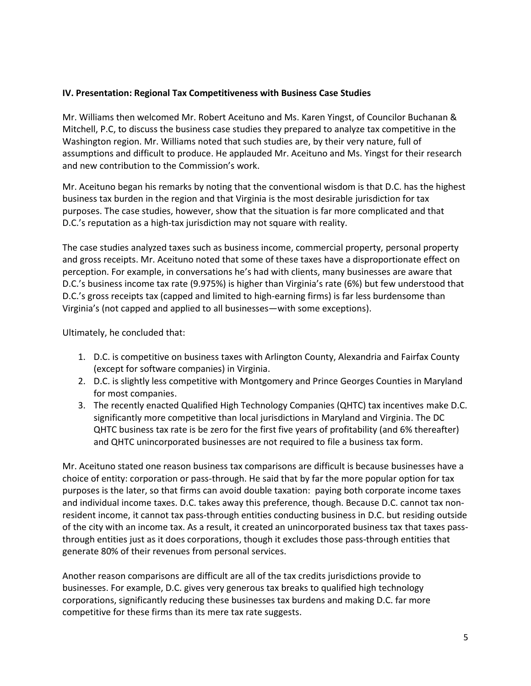### **IV. Presentation: Regional Tax Competitiveness with Business Case Studies**

Mr. Williams then welcomed Mr. Robert Aceituno and Ms. Karen Yingst, of Councilor Buchanan & Mitchell, P.C, to discuss the business case studies they prepared to analyze tax competitive in the Washington region. Mr. Williams noted that such studies are, by their very nature, full of assumptions and difficult to produce. He applauded Mr. Aceituno and Ms. Yingst for their research and new contribution to the Commission's work.

Mr. Aceituno began his remarks by noting that the conventional wisdom is that D.C. has the highest business tax burden in the region and that Virginia is the most desirable jurisdiction for tax purposes. The case studies, however, show that the situation is far more complicated and that D.C.'s reputation as a high-tax jurisdiction may not square with reality.

The case studies analyzed taxes such as business income, commercial property, personal property and gross receipts. Mr. Aceituno noted that some of these taxes have a disproportionate effect on perception. For example, in conversations he's had with clients, many businesses are aware that D.C.'s business income tax rate (9.975%) is higher than Virginia's rate (6%) but few understood that D.C.'s gross receipts tax (capped and limited to high-earning firms) is far less burdensome than Virginia's (not capped and applied to all businesses—with some exceptions).

Ultimately, he concluded that:

- 1. D.C. is competitive on business taxes with Arlington County, Alexandria and Fairfax County (except for software companies) in Virginia.
- 2. D.C. is slightly less competitive with Montgomery and Prince Georges Counties in Maryland for most companies.
- 3. The recently enacted Qualified High Technology Companies (QHTC) tax incentives make D.C. significantly more competitive than local jurisdictions in Maryland and Virginia. The DC QHTC business tax rate is be zero for the first five years of profitability (and 6% thereafter) and QHTC unincorporated businesses are not required to file a business tax form.

Mr. Aceituno stated one reason business tax comparisons are difficult is because businesses have a choice of entity: corporation or pass-through. He said that by far the more popular option for tax purposes is the later, so that firms can avoid double taxation: paying both corporate income taxes and individual income taxes. D.C. takes away this preference, though. Because D.C. cannot tax nonresident income, it cannot tax pass-through entities conducting business in D.C. but residing outside of the city with an income tax. As a result, it created an unincorporated business tax that taxes passthrough entities just as it does corporations, though it excludes those pass-through entities that generate 80% of their revenues from personal services.

Another reason comparisons are difficult are all of the tax credits jurisdictions provide to businesses. For example, D.C. gives very generous tax breaks to qualified high technology corporations, significantly reducing these businesses tax burdens and making D.C. far more competitive for these firms than its mere tax rate suggests.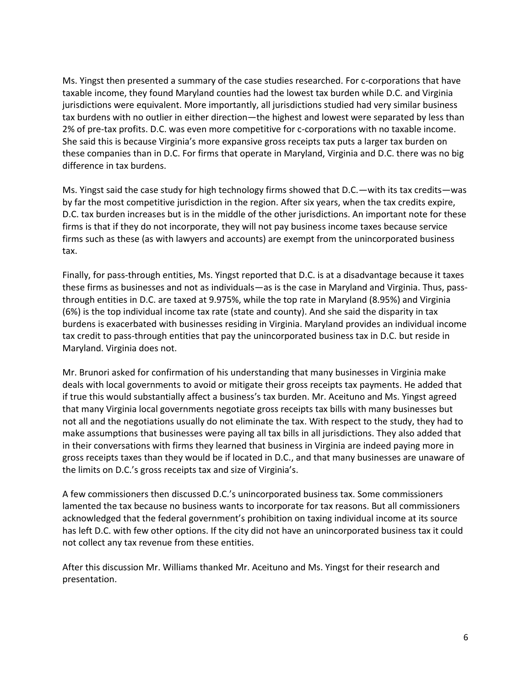Ms. Yingst then presented a summary of the case studies researched. For c-corporations that have taxable income, they found Maryland counties had the lowest tax burden while D.C. and Virginia jurisdictions were equivalent. More importantly, all jurisdictions studied had very similar business tax burdens with no outlier in either direction—the highest and lowest were separated by less than 2% of pre-tax profits. D.C. was even more competitive for c-corporations with no taxable income. She said this is because Virginia's more expansive gross receipts tax puts a larger tax burden on these companies than in D.C. For firms that operate in Maryland, Virginia and D.C. there was no big difference in tax burdens.

Ms. Yingst said the case study for high technology firms showed that D.C.—with its tax credits—was by far the most competitive jurisdiction in the region. After six years, when the tax credits expire, D.C. tax burden increases but is in the middle of the other jurisdictions. An important note for these firms is that if they do not incorporate, they will not pay business income taxes because service firms such as these (as with lawyers and accounts) are exempt from the unincorporated business tax.

Finally, for pass-through entities, Ms. Yingst reported that D.C. is at a disadvantage because it taxes these firms as businesses and not as individuals—as is the case in Maryland and Virginia. Thus, passthrough entities in D.C. are taxed at 9.975%, while the top rate in Maryland (8.95%) and Virginia (6%) is the top individual income tax rate (state and county). And she said the disparity in tax burdens is exacerbated with businesses residing in Virginia. Maryland provides an individual income tax credit to pass-through entities that pay the unincorporated business tax in D.C. but reside in Maryland. Virginia does not.

Mr. Brunori asked for confirmation of his understanding that many businesses in Virginia make deals with local governments to avoid or mitigate their gross receipts tax payments. He added that if true this would substantially affect a business's tax burden. Mr. Aceituno and Ms. Yingst agreed that many Virginia local governments negotiate gross receipts tax bills with many businesses but not all and the negotiations usually do not eliminate the tax. With respect to the study, they had to make assumptions that businesses were paying all tax bills in all jurisdictions. They also added that in their conversations with firms they learned that business in Virginia are indeed paying more in gross receipts taxes than they would be if located in D.C., and that many businesses are unaware of the limits on D.C.'s gross receipts tax and size of Virginia's.

A few commissioners then discussed D.C.'s unincorporated business tax. Some commissioners lamented the tax because no business wants to incorporate for tax reasons. But all commissioners acknowledged that the federal government's prohibition on taxing individual income at its source has left D.C. with few other options. If the city did not have an unincorporated business tax it could not collect any tax revenue from these entities.

After this discussion Mr. Williams thanked Mr. Aceituno and Ms. Yingst for their research and presentation.